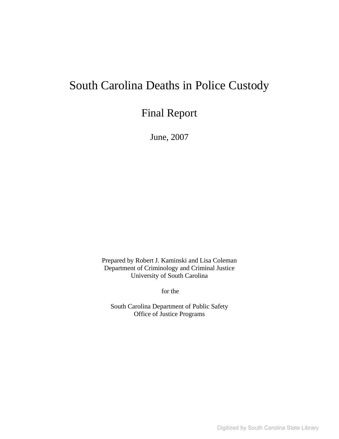# South Carolina Deaths in Police Custody

# Final Report

June, 2007

Prepared by Robert J. Kaminski and Lisa Coleman Department of Criminology and Criminal Justice University of South Carolina

for the

South Carolina Department of Public Safety Office of Justice Programs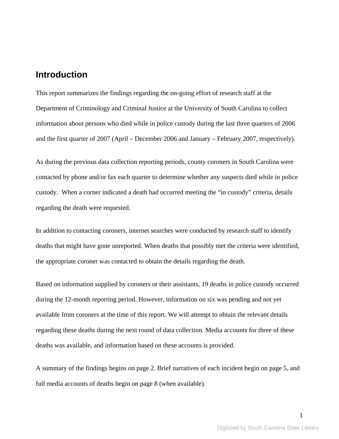## **Introduction**

This report summarizes the findings regarding the on-going effort of research staff at the Department of Criminology and Criminal Justice at the University of South Carolina to collect information about persons who died while in police custody during the last three quarters of 2006 and the first quarter of 2007 (April – December 2006 and January – February 2007, respectively).

As during the previous data collection reporting periods, county coroners in South Carolina were contacted by phone and/or fax each quarter to determine whether any suspects died while in police custody. When a corner indicated a death had occurred meeting the "in custody" criteria, details regarding the death were requested.

In addition to contacting coroners, internet searches were conducted by research staff to identify deaths that might have gone unreported. When deaths that possibly met the criteria were identified, the appropriate coroner was contacted to obtain the details regarding the death.

Based on information supplied by coroners or their assistants, 19 deaths in police custody occurred during the 12-month reporting period. However, information on six was pending and not yet available from coroners at the time of this report. We will attempt to obtain the relevant details regarding these deaths during the next round of data collection. Media accounts for three of these deaths was available, and information based on these accounts is provided.

A summary of the findings begins on page 2. Brief narratives of each incident begin on page 5, and full media accounts of deaths begin on page 8 (when available).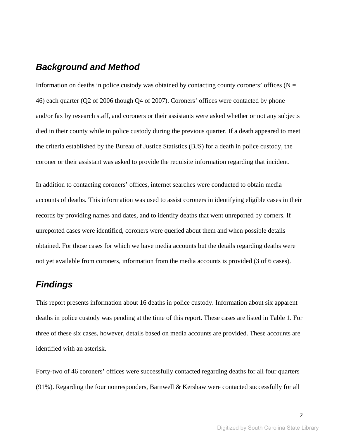## *Background and Method*

Information on deaths in police custody was obtained by contacting county coroners' offices ( $N =$ 46) each quarter (Q2 of 2006 though Q4 of 2007). Coroners' offices were contacted by phone and/or fax by research staff, and coroners or their assistants were asked whether or not any subjects died in their county while in police custody during the previous quarter. If a death appeared to meet the criteria established by the Bureau of Justice Statistics (BJS) for a death in police custody, the coroner or their assistant was asked to provide the requisite information regarding that incident.

In addition to contacting coroners' offices, internet searches were conducted to obtain media accounts of deaths. This information was used to assist coroners in identifying eligible cases in their records by providing names and dates, and to identify deaths that went unreported by corners. If unreported cases were identified, coroners were queried about them and when possible details obtained. For those cases for which we have media accounts but the details regarding deaths were not yet available from coroners, information from the media accounts is provided (3 of 6 cases).

## *Findings*

This report presents information about 16 deaths in police custody. Information about six apparent deaths in police custody was pending at the time of this report. These cases are listed in Table 1. For three of these six cases, however, details based on media accounts are provided. These accounts are identified with an asterisk.

Forty-two of 46 coroners' offices were successfully contacted regarding deaths for all four quarters (91%). Regarding the four nonresponders, Barnwell & Kershaw were contacted successfully for all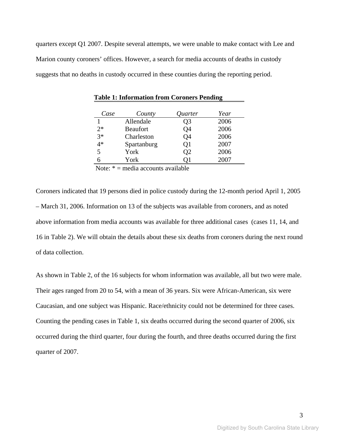quarters except Q1 2007. Despite several attempts, we were unable to make contact with Lee and Marion county coroners' offices. However, a search for media accounts of deaths in custody suggests that no deaths in custody occurred in these counties during the reporting period.

| Case | County          | Quarter | Year |
|------|-----------------|---------|------|
|      | Allendale       | Q3      | 2006 |
| $2*$ | <b>Beaufort</b> | Q4      | 2006 |
| $3*$ | Charleston      | Q4      | 2006 |
| 4*   | Spartanburg     | Q1      | 2007 |
| 5    | York            | O2      | 2006 |
|      | York            |         | 2007 |

 **Table 1: Information from Coroners Pending** 

Note:  $* =$  media accounts available

Coroners indicated that 19 persons died in police custody during the 12-month period April 1, 2005 – March 31, 2006. Information on 13 of the subjects was available from coroners, and as noted above information from media accounts was available for three additional cases (cases 11, 14, and 16 in Table 2). We will obtain the details about these six deaths from coroners during the next round of data collection.

As shown in Table 2, of the 16 subjects for whom information was available, all but two were male. Their ages ranged from 20 to 54, with a mean of 36 years. Six were African-American, six were Caucasian, and one subject was Hispanic. Race/ethnicity could not be determined for three cases. Counting the pending cases in Table 1, six deaths occurred during the second quarter of 2006, six occurred during the third quarter, four during the fourth, and three deaths occurred during the first quarter of 2007.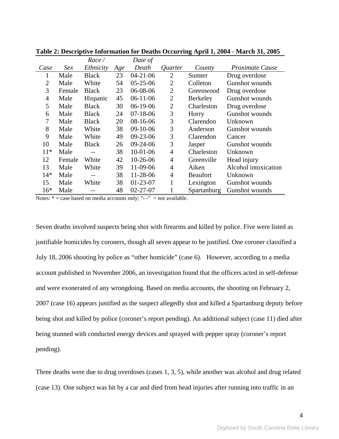| Ethnicity<br>Death<br>Case<br>Sex<br><i>Proximate Cause</i><br>Age<br><i>Ouarter</i><br>County<br>23<br>$04 - 21 - 06$<br>Male<br><b>Black</b><br>$\overline{2}$<br>Drug overdose<br>Sumter<br>1<br>$05 - 25 - 06$<br>Gunshot wounds<br>$\overline{2}$<br>White<br>54<br>$\overline{2}$<br>Colleton<br>Male<br>3<br>06-08-06<br>$\overline{2}$<br><b>Black</b><br>23<br>Female<br>Drug overdose<br>Greenwood<br>$\overline{2}$<br>4<br>Male<br>45<br>$06-11-06$<br><b>Gunshot wounds</b><br>Berkeley<br>Hispanic<br>5<br>$06-19-06$<br>$\overline{2}$<br>Male<br><b>Black</b><br>30<br>Charleston<br>Drug overdose<br>3<br>$07 - 18 - 06$<br>6<br>Male<br><b>Black</b><br>24<br>Gunshot wounds<br>Horry<br>3<br>7<br>20<br>$08-16-06$<br>Male<br><b>Black</b><br>Clarendon<br>Unknown<br>8<br>3<br>$09-10-06$<br>Male<br>White<br>38<br>Anderson<br><b>Gunshot wounds</b><br>9<br>3<br>White<br>49<br>$09 - 23 - 06$<br>Male<br>Clarendon<br>Cancer<br>3<br>10<br>Male<br>26<br>$09-24-06$<br><b>Black</b><br>Gunshot wounds<br>Jasper<br>38<br>$10-01-06$<br>$\overline{4}$<br>$11*$<br>Male<br>Charleston<br>Unknown |    |        | Race/ |    | Date of    |                |            |             |
|------------------------------------------------------------------------------------------------------------------------------------------------------------------------------------------------------------------------------------------------------------------------------------------------------------------------------------------------------------------------------------------------------------------------------------------------------------------------------------------------------------------------------------------------------------------------------------------------------------------------------------------------------------------------------------------------------------------------------------------------------------------------------------------------------------------------------------------------------------------------------------------------------------------------------------------------------------------------------------------------------------------------------------------------------------------------------------------------------------------------|----|--------|-------|----|------------|----------------|------------|-------------|
|                                                                                                                                                                                                                                                                                                                                                                                                                                                                                                                                                                                                                                                                                                                                                                                                                                                                                                                                                                                                                                                                                                                        |    |        |       |    |            |                |            |             |
|                                                                                                                                                                                                                                                                                                                                                                                                                                                                                                                                                                                                                                                                                                                                                                                                                                                                                                                                                                                                                                                                                                                        |    |        |       |    |            |                |            |             |
|                                                                                                                                                                                                                                                                                                                                                                                                                                                                                                                                                                                                                                                                                                                                                                                                                                                                                                                                                                                                                                                                                                                        |    |        |       |    |            |                |            |             |
|                                                                                                                                                                                                                                                                                                                                                                                                                                                                                                                                                                                                                                                                                                                                                                                                                                                                                                                                                                                                                                                                                                                        |    |        |       |    |            |                |            |             |
|                                                                                                                                                                                                                                                                                                                                                                                                                                                                                                                                                                                                                                                                                                                                                                                                                                                                                                                                                                                                                                                                                                                        |    |        |       |    |            |                |            |             |
|                                                                                                                                                                                                                                                                                                                                                                                                                                                                                                                                                                                                                                                                                                                                                                                                                                                                                                                                                                                                                                                                                                                        |    |        |       |    |            |                |            |             |
|                                                                                                                                                                                                                                                                                                                                                                                                                                                                                                                                                                                                                                                                                                                                                                                                                                                                                                                                                                                                                                                                                                                        |    |        |       |    |            |                |            |             |
|                                                                                                                                                                                                                                                                                                                                                                                                                                                                                                                                                                                                                                                                                                                                                                                                                                                                                                                                                                                                                                                                                                                        |    |        |       |    |            |                |            |             |
|                                                                                                                                                                                                                                                                                                                                                                                                                                                                                                                                                                                                                                                                                                                                                                                                                                                                                                                                                                                                                                                                                                                        |    |        |       |    |            |                |            |             |
|                                                                                                                                                                                                                                                                                                                                                                                                                                                                                                                                                                                                                                                                                                                                                                                                                                                                                                                                                                                                                                                                                                                        |    |        |       |    |            |                |            |             |
|                                                                                                                                                                                                                                                                                                                                                                                                                                                                                                                                                                                                                                                                                                                                                                                                                                                                                                                                                                                                                                                                                                                        |    |        |       |    |            |                |            |             |
|                                                                                                                                                                                                                                                                                                                                                                                                                                                                                                                                                                                                                                                                                                                                                                                                                                                                                                                                                                                                                                                                                                                        |    |        |       |    |            |                |            |             |
|                                                                                                                                                                                                                                                                                                                                                                                                                                                                                                                                                                                                                                                                                                                                                                                                                                                                                                                                                                                                                                                                                                                        | 12 | Female | White | 42 | $10-26-06$ | $\overline{4}$ | Greenville | Head injury |
| 13<br>Male<br>White<br>39<br>11-09-06<br>$\overline{4}$<br>Alcohol intoxication<br>Aiken                                                                                                                                                                                                                                                                                                                                                                                                                                                                                                                                                                                                                                                                                                                                                                                                                                                                                                                                                                                                                               |    |        |       |    |            |                |            |             |
| $14*$<br>11-28-06<br>$\overline{4}$<br>Male<br>38<br>Unknown<br><b>Beaufort</b>                                                                                                                                                                                                                                                                                                                                                                                                                                                                                                                                                                                                                                                                                                                                                                                                                                                                                                                                                                                                                                        |    |        |       |    |            |                |            |             |
| 15<br>Male<br>White<br>38<br>$01 - 23 - 07$<br>1<br>Lexington<br>Gunshot wounds                                                                                                                                                                                                                                                                                                                                                                                                                                                                                                                                                                                                                                                                                                                                                                                                                                                                                                                                                                                                                                        |    |        |       |    |            |                |            |             |
| $16*$<br>Male<br>48<br>$02 - 27 - 07$<br>Gunshot wounds<br>Spartanburg                                                                                                                                                                                                                                                                                                                                                                                                                                                                                                                                                                                                                                                                                                                                                                                                                                                                                                                                                                                                                                                 |    |        |       |    |            |                |            |             |

**Table 2: Descriptive Information for Deaths Occurring April 1, 2004 - March 31, 2005** 

Notes:  $* = \text{case based on media accounts only};$  "--" = not available.

Seven deaths involved suspects being shot with firearms and killed by police. Five were listed as justifiable homicides by coroners, though all seven appear to be justified. One coroner classified a July 18, 2006 shooting by police as "other homicide" (case 6). However, according to a media account published in November 2006, an investigation found that the officers acted in self-defense and were exonerated of any wrongdoing. Based on media accounts, the shooting on February 2, 2007 (case 16) appears justified as the suspect allegedly shot and killed a Spartanburg deputy before being shot and killed by police (coroner's report pending). An additional subject (case 11) died after being stunned with conducted energy devices and sprayed with pepper spray (coroner's report pending).

Three deaths were due to drug overdoses (cases 1, 3, 5), while another was alcohol and drug related (case 13). One subject was hit by a car and died from head injuries after running into traffic in an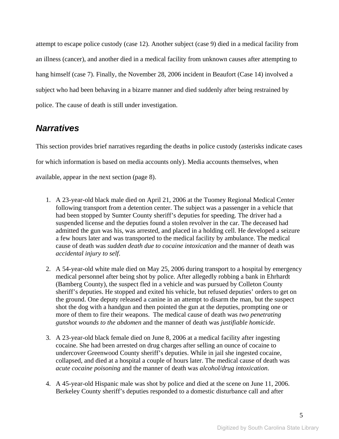attempt to escape police custody (case 12). Another subject (case 9) died in a medical facility from an illness (cancer), and another died in a medical facility from unknown causes after attempting to hang himself (case 7). Finally, the November 28, 2006 incident in Beaufort (Case 14) involved a subject who had been behaving in a bizarre manner and died suddenly after being restrained by police. The cause of death is still under investigation.

## *Narratives*

This section provides brief narratives regarding the deaths in police custody (asterisks indicate cases for which information is based on media accounts only). Media accounts themselves, when available, appear in the next section (page 8).

- 1. A 23-year-old black male died on April 21, 2006 at the Tuomey Regional Medical Center following transport from a detention center. The subject was a passenger in a vehicle that had been stopped by Sumter County sheriff's deputies for speeding. The driver had a suspended license and the deputies found a stolen revolver in the car. The deceased had admitted the gun was his, was arrested, and placed in a holding cell. He developed a seizure a few hours later and was transported to the medical facility by ambulance. The medical cause of death was *sudden death due to cocaine intoxication* and the manner of death was *accidental injury to self*.
- 2. A 54-year-old white male died on May 25, 2006 during transport to a hospital by emergency medical personnel after being shot by police. After allegedly robbing a bank in Ehrhardt (Bamberg County), the suspect fled in a vehicle and was pursued by Colleton County sheriff's deputies. He stopped and exited his vehicle, but refused deputies' orders to get on the ground. One deputy released a canine in an attempt to disarm the man, but the suspect shot the dog with a handgun and then pointed the gun at the deputies, prompting one or more of them to fire their weapons. The medical cause of death was *two penetrating gunshot wounds to the abdomen* and the manner of death was *justifiable homicide*.
- 3. A 23-year-old black female died on June 8, 2006 at a medical facility after ingesting cocaine. She had been arrested on drug charges after selling an ounce of cocaine to undercover Greenwood County sheriff's deputies. While in jail she ingested cocaine, collapsed, and died at a hospital a couple of hours later. The medical cause of death was *acute cocaine poisoning* and the manner of death was *alcohol/drug intoxication*.
- 4. A 45-year-old Hispanic male was shot by police and died at the scene on June 11, 2006. Berkeley County sheriff's deputies responded to a domestic disturbance call and after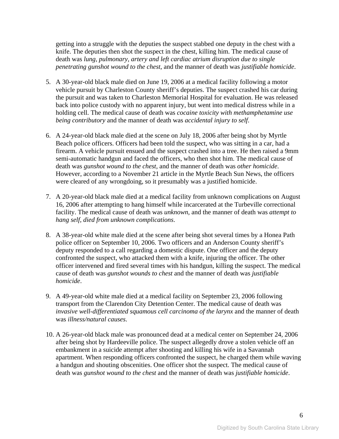getting into a struggle with the deputies the suspect stabbed one deputy in the chest with a knife. The deputies then shot the suspect in the chest, killing him. The medical cause of death was *lung, pulmonary, artery and left cardiac atrium disruption due to single penetrating gunshot wound to the chest*, and the manner of death was *justifiable homicide*.

- 5. A 30-year-old black male died on June 19, 2006 at a medical facility following a motor vehicle pursuit by Charleston County sheriff's deputies. The suspect crashed his car during the pursuit and was taken to Charleston Memorial Hospital for evaluation. He was released back into police custody with no apparent injury, but went into medical distress while in a holding cell. The medical cause of death was *cocaine toxicity with methamphetamine use being contributory* and the manner of death was *accidental injury to self*.
- 6. A 24-year-old black male died at the scene on July 18, 2006 after being shot by Myrtle Beach police officers. Officers had been told the suspect, who was sitting in a car, had a firearm. A vehicle pursuit ensued and the suspect crashed into a tree. He then raised a 9mm semi-automatic handgun and faced the officers, who then shot him. The medical cause of death was *gunshot wound to the chest*, and the manner of death was *other homicide*. However, according to a November 21 article in the Myrtle Beach Sun News, the officers were cleared of any wrongdoing, so it presumably was a justified homicide.
- 7. A 20-year-old black male died at a medical facility from unknown complications on August 16, 2006 after attempting to hang himself while incarcerated at the Turbeville correctional facility. The medical cause of death was *unknown*, and the manner of death was *attempt to hang self, died from unknown complications*.
- 8. A 38-year-old white male died at the scene after being shot several times by a Honea Path police officer on September 10, 2006. Two officers and an Anderson County sheriff's deputy responded to a call regarding a domestic dispute. One officer and the deputy confronted the suspect, who attacked them with a knife, injuring the officer. The other officer intervened and fired several times with his handgun, killing the suspect. The medical cause of death was *gunshot wounds to chest* and the manner of death was *justifiable homicide*.
- 9. A 49-year-old white male died at a medical facility on September 23, 2006 following transport from the Clarendon City Detention Center. The medical cause of death was *invasive well-differentiated squamous cell carcinoma of the larynx* and the manner of death was *illness/natural causes*.
- 10. A 26-year-old black male was pronounced dead at a medical center on September 24, 2006 after being shot by Hardeeville police. The suspect allegedly drove a stolen vehicle off an embankment in a suicide attempt after shooting and killing his wife in a Savannah apartment. When responding officers confronted the suspect, he charged them while waving a handgun and shouting obscenities. One officer shot the suspect. The medical cause of death was *gunshot wound to the chest* and the manner of death was *justifiable homicide*.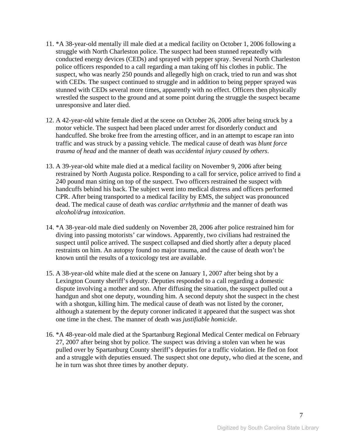- 11. \*A 38-year-old mentally ill male died at a medical facility on October 1, 2006 following a struggle with North Charleston police. The suspect had been stunned repeatedly with conducted energy devices (CEDs) and sprayed with pepper spray. Several North Charleston police officers responded to a call regarding a man taking off his clothes in public. The suspect, who was nearly 250 pounds and allegedly high on crack, tried to run and was shot with CEDs. The suspect continued to struggle and in addition to being pepper sprayed was stunned with CEDs several more times, apparently with no effect. Officers then physically wrestled the suspect to the ground and at some point during the struggle the suspect became unresponsive and later died.
- 12. A 42-year-old white female died at the scene on October 26, 2006 after being struck by a motor vehicle. The suspect had been placed under arrest for disorderly conduct and handcuffed. She broke free from the arresting officer, and in an attempt to escape ran into traffic and was struck by a passing vehicle. The medical cause of death was *blunt force trauma of head* and the manner of death was *accidental injury caused by others*.
- 13. A 39-year-old white male died at a medical facility on November 9, 2006 after being restrained by North Augusta police. Responding to a call for service, police arrived to find a 240 pound man sitting on top of the suspect. Two officers restrained the suspect with handcuffs behind his back. The subject went into medical distress and officers performed CPR. After being transported to a medical facility by EMS, the subject was pronounced dead. The medical cause of death was *cardiac arrhythmia* and the manner of death was *alcohol/drug intoxication*.
- 14. \*A 38-year-old male died suddenly on November 28, 2006 after police restrained him for diving into passing motorists' car windows. Apparently, two civilians had restrained the suspect until police arrived. The suspect collapsed and died shortly after a deputy placed restraints on him. An autopsy found no major trauma, and the cause of death won't be known until the results of a toxicology test are available.
- 15. A 38-year-old white male died at the scene on January 1, 2007 after being shot by a Lexington County sheriff's deputy. Deputies responded to a call regarding a domestic dispute involving a mother and son. After diffusing the situation, the suspect pulled out a handgun and shot one deputy, wounding him. A second deputy shot the suspect in the chest with a shotgun, killing him. The medical cause of death was not listed by the coroner, although a statement by the deputy coroner indicated it appeared that the suspect was shot one time in the chest. The manner of death was *justifiable homicide*.
- 16. \*A 48-year-old male died at the Spartanburg Regional Medical Center medical on February 27, 2007 after being shot by police. The suspect was driving a stolen van when he was pulled over by Spartanburg County sheriff's deputies for a traffic violation. He fled on foot and a struggle with deputies ensued. The suspect shot one deputy, who died at the scene, and he in turn was shot three times by another deputy.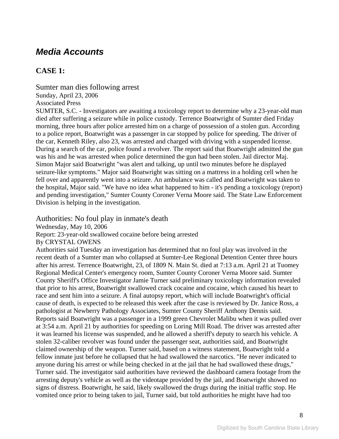## *Media Accounts*

## **CASE 1:**

Sumter man dies following arrest Sunday, April 23, 2006 Associated Press SUMTER, S.C. - Investigators are awaiting a toxicology report to determine why a 23-year-old man died after suffering a seizure while in police custody. Terrence Boatwright of Sumter died Friday morning, three hours after police arrested him on a charge of possession of a stolen gun. According to a police report, Boatwright was a passenger in car stopped by police for speeding. The driver of the car, Kenneth Riley, also 23, was arrested and charged with driving with a suspended license. During a search of the car, police found a revolver. The report said that Boatwright admitted the gun was his and he was arrested when police determined the gun had been stolen. Jail director Maj. Simon Major said Boatwright "was alert and talking, up until two minutes before he displayed seizure-like symptoms." Major said Boatwright was sitting on a mattress in a holding cell when he fell over and apparently went into a seizure. An ambulance was called and Boatwright was taken to the hospital, Major said. "We have no idea what happened to him - it's pending a toxicology (report) and pending investigation," Sumter County Coroner Verna Moore said. The State Law Enforcement Division is helping in the investigation.

Authorities: No foul play in inmate's death Wednesday, May 10, 2006 Report: 23-year-old swallowed cocaine before being arrested By CRYSTAL OWENS Authorities said Tuesday an investigation has determined that no foul play was involved in the recent death of a Sumter man who collapsed at Sumter-Lee Regional Detention Center three hours after his arrest. Terrence Boatwright, 23, of 1809 N. Main St. died at 7:13 a.m. April 21 at Tuomey Regional Medical Center's emergency room, Sumter County Coroner Verna Moore said. Sumter County Sheriff's Office Investigator Jamie Turner said preliminary toxicology information revealed that prior to his arrest, Boatwright swallowed crack cocaine and cocaine, which caused his heart to race and sent him into a seizure. A final autopsy report, which will include Boatwright's official cause of death, is expected to be released this week after the case is reviewed by Dr. Janice Ross, a pathologist at Newberry Pathology Associates, Sumter County Sheriff Anthony Dennis said. Reports said Boatwright was a passenger in a 1999 green Chevrolet Malibu when it was pulled over at 3:54 a.m. April 21 by authorities for speeding on Loring Mill Road. The driver was arrested after it was learned his license was suspended, and he allowed a sheriff's deputy to search his vehicle. A stolen 32-caliber revolver was found under the passenger seat, authorities said, and Boatwright claimed ownership of the weapon. Turner said, based on a witness statement, Boatwright told a fellow inmate just before he collapsed that he had swallowed the narcotics. "He never indicated to anyone during his arrest or while being checked in at the jail that he had swallowed these drugs," Turner said. The investigator said authorities have reviewed the dashboard camera footage from the arresting deputy's vehicle as well as the videotape provided by the jail, and Boatwright showed no signs of distress. Boatwright, he said, likely swallowed the drugs during the initial traffic stop. He vomited once prior to being taken to jail, Turner said, but told authorities he might have had too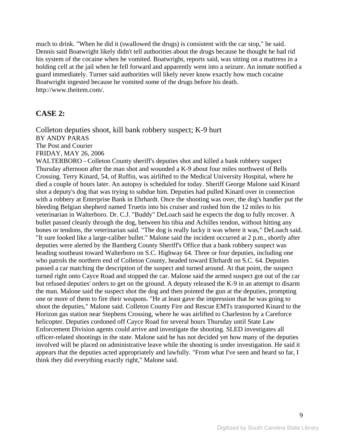much to drink. "When he did it (swallowed the drugs) is consistent with the car stop," he said. Dennis said Boatwright likely didn't tell authorities about the drugs because he thought he had rid his system of the cocaine when he vomited. Boatwright, reports said, was sitting on a mattress in a holding cell at the jail when he fell forward and apparently went into a seizure. An inmate notified a guard immediately. Turner said authorities will likely never know exactly how much cocaine Boatwright ingested because he vomited some of the drugs before his death. http://www.theitem.com/.

#### **CASE 2:**

Colleton deputies shoot, kill bank robbery suspect; K-9 hurt BY ANDY PARAS The Post and Courier FRIDAY, MAY 26, 2006

WALTERBORO - Colleton County sheriff's deputies shot and killed a bank robbery suspect Thursday afternoon after the man shot and wounded a K-9 about four miles northwest of Bells Crossing. Terry Kinard, 54, of Ruffin, was airlifted to the Medical University Hospital, where he died a couple of hours later. An autopsy is scheduled for today. Sheriff George Malone said Kinard shot a deputy's dog that was trying to subdue him. Deputies had pulled Kinard over in connection with a robbery at Enterprise Bank in Ehrhardt. Once the shooting was over, the dog's handler put the bleeding Belgian shepherd named Truetis into his cruiser and rushed him the 12 miles to his veterinarian in Walterboro. Dr. C.J. "Buddy" DeLoach said he expects the dog to fully recover. A bullet passed cleanly through the dog, between his tibia and Achilles tendon, without hitting any bones or tendons, the veterinarian said. "The dog is really lucky it was where it was," DeLoach said. "It sure looked like a large-caliber bullet." Malone said the incident occurred at 2 p.m., shortly after deputies were alerted by the Bamberg County Sheriff's Office that a bank robbery suspect was heading southeast toward Walterboro on S.C. Highway 64. Three or four deputies, including one who patrols the northern end of Colleton County, headed toward Ehrhardt on S.C. 64. Deputies passed a car matching the description of the suspect and turned around. At that point, the suspect turned right onto Cayce Road and stopped the car. Malone said the armed suspect got out of the car but refused deputies' orders to get on the ground. A deputy released the K-9 in an attempt to disarm the man. Malone said the suspect shot the dog and then pointed the gun at the deputies, prompting one or more of them to fire their weapons. "He at least gave the impression that he was going to shoot the deputies," Malone said. Colleton County Fire and Rescue EMTs transported Kinard to the Horizon gas station near Stephens Crossing, where he was airlifted to Charleston by a Careforce helicopter. Deputies cordoned off Cayce Road for several hours Thursday until State Law Enforcement Division agents could arrive and investigate the shooting. SLED investigates all officer-related shootings in the state. Malone said he has not decided yet how many of the deputies involved will be placed on administrative leave while the shooting is under investigation. He said it appears that the deputies acted appropriately and lawfully. "From what I've seen and heard so far, I think they did everything exactly right," Malone said.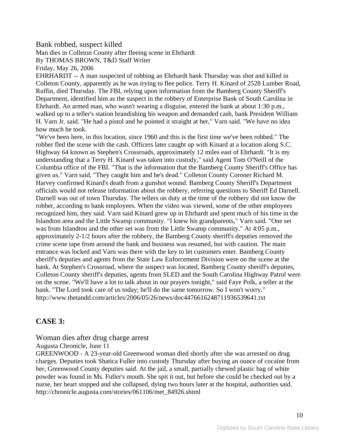#### Bank robbed, suspect killed

Man dies in Colleton County after fleeing scene in Ehrhardt By THOMAS BROWN, T&D Staff Writer

Friday, May 26, 2006

EHRHARDT -- A man suspected of robbing an Ehrhardt bank Thursday was shot and killed in Colleton County, apparently as he was trying to flee police. Terry H. Kinard of 2528 Lumber Road, Ruffin, died Thursday. The FBI, relying upon information from the Bamberg County Sheriff's Department, identified him as the suspect in the robbery of Enterprise Bank of South Carolina in Ehrhardt. An armed man, who wasn't wearing a disguise, entered the bank at about 1:30 p.m., walked up to a teller's station brandishing his weapon and demanded cash, bank President William H. Varn Jr. said. "He had a pistol and he pointed it straight at her," Varn said. "We have no idea how much he took.

"We've been here, in this location, since 1960 and this is the first time we've been robbed." The robber fled the scene with the cash. Officers later caught up with Kinard at a location along S.C. Highway 64 known as Stephen's Crossroads, approximately 12 miles east of Ehrhardt. "It is my understanding that a Terry H. Kinard was taken into custody," said Agent Tom O'Neill of the Columbia office of the FBI. "That is the information that the Bamberg County Sheriff's Office has given us." Varn said, "They caught him and he's dead." Colleton County Coroner Richard M. Harvey confirmed Kinard's death from a gunshot wound. Bamberg County Sheriff's Department officials would not release information about the robbery, referring questions to Sheriff Ed Darnell. Darnell was out of town Thursday. The tellers on duty at the time of the robbery did not know the robber, according to bank employees. When the video was viewed, some of the other employees recognized him, they said. Varn said Kinard grew up in Ehrhardt and spent much of his time in the Islandton area and the Little Swamp community. "I knew his grandparents," Varn said. "One set was from Islandton and the other set was from the Little Swamp community." At 4:05 p.m., approximately 2-1/2 hours after the robbery, the Bamberg County sheriff's deputies removed the crime scene tape from around the bank and business was resumed, but with caution. The main entrance was locked and Varn was there with the key to let customers enter. Bamberg County sheriff's deputies and agents from the State Law Enforcement Division were on the scene at the bank. At Stephen's Crossroad, where the suspect was located, Bamberg County sheriff's deputies, Colleton County sheriff's deputies, agents from SLED and the South Carolina Highway Patrol were on the scene. "We'll have a lot to talk about in our prayers tonight," said Faye Polk, a teller at the bank. "The Lord took care of us today; he'll do the same tomorrow. So I won't worry." http://www.thetandd.com/articles/2006/05/26/news/doc4476616248711936539641.txt

## **CASE 3:**

#### Woman dies after drug charge arrest

Augusta Chronicle, June 11

GREENWOOD - A 23-year-old Greenwood woman died shortly after she was arrested on drug charges. Deputies took Shatica Fuller into custody Thursday after buying an ounce of cocaine from her, Greenwood County deputies said. At the jail, a small, partially chewed plastic bag of white powder was found in Ms. Fuller's mouth. She spit it out, but before she could be checked out by a nurse, her heart stopped and she collapsed, dying two hours later at the hospital, authorities said. http://chronicle.augusta.com/stories/061106/met\_84926.shtml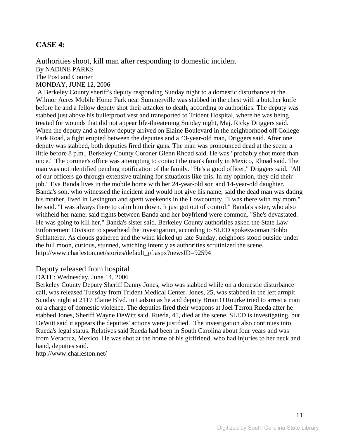### **CASE 4:**

Authorities shoot, kill man after responding to domestic incident By NADINE PARKS The Post and Courier MONDAY, JUNE 12, 2006

 A Berkeley County sheriff's deputy responding Sunday night to a domestic disturbance at the Wilmor Acres Mobile Home Park near Summerville was stabbed in the chest with a butcher knife before he and a fellow deputy shot their attacker to death, according to authorities. The deputy was stabbed just above his bulletproof vest and transported to Trident Hospital, where he was being treated for wounds that did not appear life-threatening Sunday night, Maj. Ricky Driggers said. When the deputy and a fellow deputy arrived on Elaine Boulevard in the neighborhood off College Park Road, a fight erupted between the deputies and a 43-year-old man, Driggers said. After one deputy was stabbed, both deputies fired their guns. The man was pronounced dead at the scene a little before 8 p.m., Berkeley County Coroner Glenn Rhoad said. He was "probably shot more than once." The coroner's office was attempting to contact the man's family in Mexico, Rhoad said. The man was not identified pending notification of the family. "He's a good officer," Driggers said. "All of our officers go through extensive training for situations like this. In my opinion, they did their job." Eva Banda lives in the mobile home with her 24-year-old son and 14-year-old daughter. Banda's son, who witnessed the incident and would not give his name, said the dead man was dating his mother, lived in Lexington and spent weekends in the Lowcountry. "I was there with my mom," he said. "I was always there to calm him down. It just got out of control." Banda's sister, who also withheld her name, said fights between Banda and her boyfriend were common. "She's devastated. He was going to kill her," Banda's sister said. Berkeley County authorities asked the State Law Enforcement Division to spearhead the investigation, according to SLED spokeswoman Bobbi Schlatterer. As clouds gathered and the wind kicked up late Sunday, neighbors stood outside under the full moon, curious, stunned, watching intently as authorities scrutinized the scene. http://www.charleston.net/stories/default\_pf.aspx?newsID=92594

#### Deputy released from hospital

#### DATE: Wednesday, June 14, 2006

Berkeley County Deputy Sheriff Danny Jones, who was stabbed while on a domestic disturbance call, was released Tuesday from Trident Medical Center. Jones, 25, was stabbed in the left armpit Sunday night at 2117 Elaine Blvd. in Ladson as he and deputy Brian O'Rourke tried to arrest a man on a charge of domestic violence. The deputies fired their weapons at Joel Terron Rueda after he stabbed Jones, Sheriff Wayne DeWitt said. Rueda, 45, died at the scene. SLED is investigating, but DeWitt said it appears the deputies' actions were justified. The investigation also continues into Rueda's legal status. Relatives said Rueda had been in South Carolina about four years and was from Veracruz, Mexico. He was shot at the home of his girlfriend, who had injuries to her neck and hand, deputies said.

http://www.charleston.net/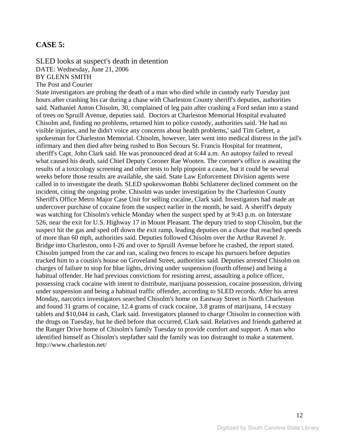#### **CASE 5:**

SLED looks at suspect's death in detention DATE: Wednesday, June 21, 2006 BY GLENN SMITH The Post and Courier

State investigators are probing the death of a man who died while in custody early Tuesday just hours after crashing his car during a chase with Charleston County sheriff's deputies, authorities said. Nathaniel Anton Chisolm, 30, complained of leg pain after crashing a Ford sedan into a stand of trees on Spruill Avenue, deputies said. Doctors at Charleston Memorial Hospital evaluated Chisolm and, finding no problems, returned him to police custody, authorities said. 'He had no visible injuries, and he didn't voice any concerns about health problems,' said Tim Gehret, a spokesman for Charleston Memorial. Chisolm, however, later went into medical distress in the jail's infirmary and then died after being rushed to Bon Secours St. Francis Hospital for treatment, sheriff's Capt. John Clark said. He was pronounced dead at 6:44 a.m. An autopsy failed to reveal what caused his death, said Chief Deputy Coroner Rae Wooten. The coroner's office is awaiting the results of a toxicology screening and other tests to help pinpoint a cause, but it could be several weeks before those results are available, she said. State Law Enforcement Division agents were called in to investigate the death. SLED spokeswoman Bobbi Schlatterer declined comment on the incident, citing the ongoing probe. Chisolm was under investigation by the Charleston County Sheriff's Office Metro Major Case Unit for selling cocaine, Clark said. Investigators had made an undercover purchase of cocaine from the suspect earlier in the month, he said. A sheriff's deputy was watching for Chisolm's vehicle Monday when the suspect sped by at 9:43 p.m. on Interstate 526, near the exit for U.S. Highway 17 in Mount Pleasant. The deputy tried to stop Chisolm, but the suspect hit the gas and sped off down the exit ramp, leading deputies on a chase that reached speeds of more than 60 mph, authorities said. Deputies followed Chisolm over the Arthur Ravenel Jr. Bridge into Charleston, onto I-26 and over to Spruill Avenue before he crashed, the report stated. Chisolm jumped from the car and ran, scaling two fences to escape his pursuers before deputies tracked him to a cousin's house on Groveland Street, authorities said. Deputies arrested Chisolm on charges of failure to stop for blue lights, driving under suspension (fourth offense) and being a habitual offender. He had previous convictions for resisting arrest, assaulting a police officer, possessing crack cocaine with intent to distribute, marijuana possession, cocaine possession, driving under suspension and being a habitual traffic offender, according to SLED records. After his arrest Monday, narcotics investigators searched Chisolm's home on Eastway Street in North Charleston and found 31 grams of cocaine, 12.4 grams of crack cocaine, 3.8 grams of marijuana, 14 ecstasy tablets and \$10,044 in cash, Clark said. Investigators planned to charge Chisolm in connection with the drugs on Tuesday, but he died before that occurred, Clark said. Relatives and friends gathered at the Ranger Drive home of Chisolm's family Tuesday to provide comfort and support. A man who identified himself as Chisolm's stepfather said the family was too distraught to make a statement. http://www.charleston.net/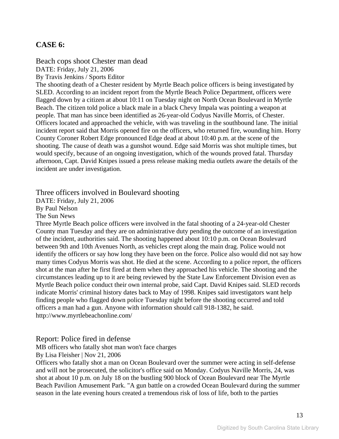## **CASE 6:**

Beach cops shoot Chester man dead DATE: Friday, July 21, 2006

By Travis Jenkins / Sports Editor

The shooting death of a Chester resident by Myrtle Beach police officers is being investigated by SLED. According to an incident report from the Myrtle Beach Police Department, officers were flagged down by a citizen at about 10:11 on Tuesday night on North Ocean Boulevard in Myrtle Beach. The citizen told police a black male in a black Chevy Impala was pointing a weapon at people. That man has since been identified as 26-year-old Codyus Naville Morris, of Chester. Officers located and approached the vehicle, with was traveling in the southbound lane. The initial incident report said that Morris opened fire on the officers, who returned fire, wounding him. Horry County Coroner Robert Edge pronounced Edge dead at about 10:40 p.m. at the scene of the shooting. The cause of death was a gunshot wound. Edge said Morris was shot multiple times, but would specify, because of an ongoing investigation, which of the wounds proved fatal. Thursday afternoon, Capt. David Knipes issued a press release making media outlets aware the details of the incident are under investigation.

Three officers involved in Boulevard shooting

DATE: Friday, July 21, 2006

By Paul Nelson

The Sun News

Three Myrtle Beach police officers were involved in the fatal shooting of a 24-year-old Chester County man Tuesday and they are on administrative duty pending the outcome of an investigation of the incident, authorities said. The shooting happened about 10:10 p.m. on Ocean Boulevard between 9th and 10th Avenues North, as vehicles crept along the main drag. Police would not identify the officers or say how long they have been on the force. Police also would did not say how many times Codyus Morris was shot. He died at the scene. According to a police report, the officers shot at the man after he first fired at them when they approached his vehicle. The shooting and the circumstances leading up to it are being reviewed by the State Law Enforcement Division even as Myrtle Beach police conduct their own internal probe, said Capt. David Knipes said. SLED records indicate Morris' criminal history dates back to May of 1998. Knipes said investigators want help finding people who flagged down police Tuesday night before the shooting occurred and told officers a man had a gun. Anyone with information should call 918-1382, he said. http://www.myrtlebeachonline.com/

#### Report: Police fired in defense

MB officers who fatally shot man won't face charges

By Lisa Fleisher | Nov 21, 2006

Officers who fatally shot a man on Ocean Boulevard over the summer were acting in self-defense and will not be prosecuted, the solicitor's office said on Monday. Codyus Naville Morris, 24, was shot at about 10 p.m. on July 18 on the bustling 900 block of Ocean Boulevard near The Myrtle Beach Pavilion Amusement Park. "A gun battle on a crowded Ocean Boulevard during the summer season in the late evening hours created a tremendous risk of loss of life, both to the parties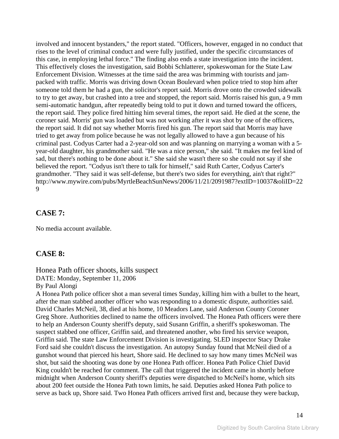involved and innocent bystanders," the report stated. "Officers, however, engaged in no conduct that rises to the level of criminal conduct and were fully justified, under the specific circumstances of this case, in employing lethal force." The finding also ends a state investigation into the incident. This effectively closes the investigation, said Bobbi Schlatterer, spokeswoman for the State Law Enforcement Division. Witnesses at the time said the area was brimming with tourists and jampacked with traffic. Morris was driving down Ocean Boulevard when police tried to stop him after someone told them he had a gun, the solicitor's report said. Morris drove onto the crowded sidewalk to try to get away, but crashed into a tree and stopped, the report said. Morris raised his gun, a 9 mm semi-automatic handgun, after repeatedly being told to put it down and turned toward the officers, the report said. They police fired hitting him several times, the report said. He died at the scene, the coroner said. Morris' gun was loaded but was not working after it was shot by one of the officers, the report said. It did not say whether Morris fired his gun. The report said that Morris may have tried to get away from police because he was not legally allowed to have a gun because of his criminal past. Codyus Carter had a 2-year-old son and was planning on marrying a woman with a 5 year-old daughter, his grandmother said. "He was a nice person," she said. "It makes me feel kind of sad, but there's nothing to be done about it." She said she wasn't there so she could not say if she believed the report. "Codyus isn't there to talk for himself," said Ruth Carter, Codyus Carter's grandmother. "They said it was self-defense, but there's two sides for everything, ain't that right?" http://www.mywire.com/pubs/MyrtleBeachSunNews/2006/11/21/2091987?extID=10037&oliID=22 9

### **CASE 7:**

No media account available.

## **CASE 8:**

#### Honea Path officer shoots, kills suspect

DATE: Monday, September 11, 2006

By Paul Alongi

A Honea Path police officer shot a man several times Sunday, killing him with a bullet to the heart, after the man stabbed another officer who was responding to a domestic dispute, authorities said. David Charles McNeil, 38, died at his home, 10 Meadors Lane, said Anderson County Coroner Greg Shore. Authorities declined to name the officers involved. The Honea Path officers were there to help an Anderson County sheriff's deputy, said Susann Griffin, a sheriff's spokeswoman. The suspect stabbed one officer, Griffin said, and threatened another, who fired his service weapon, Griffin said. The state Law Enforcement Division is investigating. SLED inspector Stacy Drake Ford said she couldn't discuss the investigation. An autopsy Sunday found that McNeil died of a gunshot wound that pierced his heart, Shore said. He declined to say how many times McNeil was shot, but said the shooting was done by one Honea Path officer. Honea Path Police Chief David King couldn't be reached for comment. The call that triggered the incident came in shortly before midnight when Anderson County sheriff's deputies were dispatched to McNeil's home, which sits about 200 feet outside the Honea Path town limits, he said. Deputies asked Honea Path police to serve as back up, Shore said. Two Honea Path officers arrived first and, because they were backup,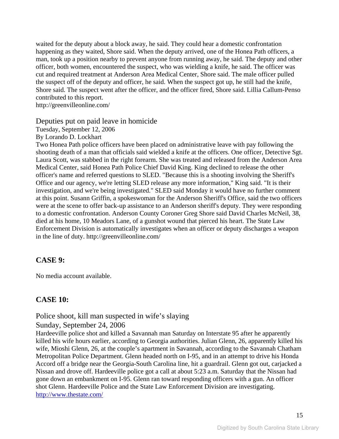waited for the deputy about a block away, he said. They could hear a domestic confrontation happening as they waited, Shore said. When the deputy arrived, one of the Honea Path officers, a man, took up a position nearby to prevent anyone from running away, he said. The deputy and other officer, both women, encountered the suspect, who was wielding a knife, he said. The officer was cut and required treatment at Anderson Area Medical Center, Shore said. The male officer pulled the suspect off of the deputy and officer, he said. When the suspect got up, he still had the knife, Shore said. The suspect went after the officer, and the officer fired, Shore said. Lillia Callum-Penso contributed to this report.

http://greenvilleonline.com/

#### Deputies put on paid leave in homicide

Tuesday, September 12, 2006

By Lorando D. Lockhart

Two Honea Path police officers have been placed on administrative leave with pay following the shooting death of a man that officials said wielded a knife at the officers. One officer, Detective Sgt. Laura Scott, was stabbed in the right forearm. She was treated and released from the Anderson Area Medical Center, said Honea Path Police Chief David King. King declined to release the other officer's name and referred questions to SLED. "Because this is a shooting involving the Sheriff's Office and our agency, we're letting SLED release any more information," King said. "It is their investigation, and we're being investigated." SLED said Monday it would have no further comment at this point. Susann Griffin, a spokeswoman for the Anderson Sheriff's Office, said the two officers were at the scene to offer back-up assistance to an Anderson sheriff's deputy. They were responding to a domestic confrontation. Anderson County Coroner Greg Shore said David Charles McNeil, 38, died at his home, 10 Meadors Lane, of a gunshot wound that pierced his heart. The State Law Enforcement Division is automatically investigates when an officer or deputy discharges a weapon in the line of duty. http://greenvilleonline.com/

#### **CASE 9:**

No media account available.

## **CASE 10:**

Police shoot, kill man suspected in wife's slaying

#### Sunday, September 24, 2006

Hardeeville police shot and killed a Savannah man Saturday on Interstate 95 after he apparently killed his wife hours earlier, according to Georgia authorities. Julian Glenn, 26, apparently killed his wife, Mioshi Glenn, 26, at the couple's apartment in Savannah, according to the Savannah Chatham Metropolitan Police Department. Glenn headed north on I-95, and in an attempt to drive his Honda Accord off a bridge near the Georgia-South Carolina line, hit a guardrail. Glenn got out, carjacked a Nissan and drove off. Hardeeville police got a call at about 5:23 a.m. Saturday that the Nissan had gone down an embankment on I-95. Glenn ran toward responding officers with a gun. An officer shot Glenn. Hardeeville Police and the State Law Enforcement Division are investigating. <http://www.thestate.com/>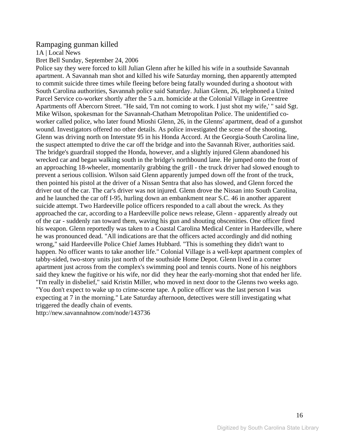#### Rampaging gunman killed

1A | Local News

Bret Bell Sunday, September 24, 2006

Police say they were forced to kill Julian Glenn after he killed his wife in a southside Savannah apartment. A Savannah man shot and killed his wife Saturday morning, then apparently attempted to commit suicide three times while fleeing before being fatally wounded during a shootout with South Carolina authorities, Savannah police said Saturday. Julian Glenn, 26, telephoned a United Parcel Service co-worker shortly after the 5 a.m. homicide at the Colonial Village in Greentree Apartments off Abercorn Street. "He said, 'I'm not coming to work. I just shot my wife,' " said Sgt. Mike Wilson, spokesman for the Savannah-Chatham Metropolitan Police. The unidentified coworker called police, who later found Mioshi Glenn, 26, in the Glenns' apartment, dead of a gunshot wound. Investigators offered no other details. As police investigated the scene of the shooting, Glenn was driving north on Interstate 95 in his Honda Accord. At the Georgia-South Carolina line, the suspect attempted to drive the car off the bridge and into the Savannah River, authorities said. The bridge's guardrail stopped the Honda, however, and a slightly injured Glenn abandoned his wrecked car and began walking south in the bridge's northbound lane. He jumped onto the front of an approaching 18-wheeler, momentarily grabbing the grill - the truck driver had slowed enough to prevent a serious collision. Wilson said Glenn apparently jumped down off the front of the truck, then pointed his pistol at the driver of a Nissan Sentra that also has slowed, and Glenn forced the driver out of the car. The car's driver was not injured. Glenn drove the Nissan into South Carolina, and he launched the car off I-95, hurling down an embankment near S.C. 46 in another apparent suicide attempt. Two Hardeeville police officers responded to a call about the wreck. As they approached the car, according to a Hardeeville police news release, Glenn - apparently already out of the car - suddenly ran toward them, waving his gun and shouting obscenities. One officer fired his weapon. Glenn reportedly was taken to a Coastal Carolina Medical Center in Hardeeville, where he was pronounced dead. "All indications are that the officers acted accordingly and did nothing wrong," said Hardeeville Police Chief James Hubbard. "This is something they didn't want to happen. No officer wants to take another life." Colonial Village is a well-kept apartment complex of tabby-sided, two-story units just north of the southside Home Depot. Glenn lived in a corner apartment just across from the complex's swimming pool and tennis courts. None of his neighbors said they knew the fugitive or his wife, nor did they hear the early-morning shot that ended her life. "I'm really in disbelief," said Kristin Miller, who moved in next door to the Glenns two weeks ago. "You don't expect to wake up to crime-scene tape. A police officer was the last person I was expecting at 7 in the morning." Late Saturday afternoon, detectives were still investigating what triggered the deadly chain of events.

http://new.savannahnow.com/node/143736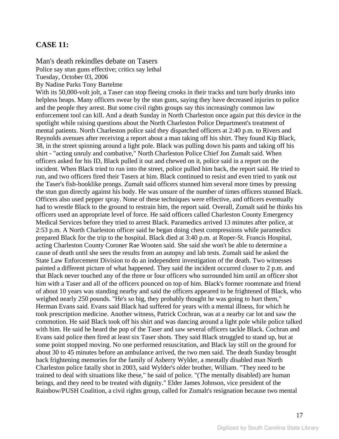### **CASE 11:**

Man's death rekindles debate on Tasers

Police say stun guns effective; critics say lethal

Tuesday, October 03, 2006

By Nadine Parks Tony Bartelme

With its 50,000-volt jolt, a Taser can stop fleeing crooks in their tracks and turn burly drunks into helpless heaps. Many officers swear by the stun guns, saying they have decreased injuries to police and the people they arrest. But some civil rights groups say this increasingly common law enforcement tool can kill. And a death Sunday in North Charleston once again put this device in the spotlight while raising questions about the North Charleston Police Department's treatment of mental patients. North Charleston police said they dispatched officers at 2:40 p.m. to Rivers and Reynolds avenues after receiving a report about a man taking off his shirt. They found Kip Black, 38, in the street spinning around a light pole. Black was pulling down his pants and taking off his shirt - "acting unruly and combative," North Charleston Police Chief Jon Zumalt said. When officers asked for his ID, Black pulled it out and chewed on it, police said in a report on the incident. When Black tried to run into the street, police pulled him back, the report said. He tried to run, and two officers fired their Tasers at him. Black continued to resist and even tried to yank out the Taser's fish-hooklike prongs. Zumalt said officers stunned him several more times by pressing the stun gun directly against his body. He was unsure of the number of times officers stunned Black. Officers also used pepper spray. None of these techniques were effective, and officers eventually had to wrestle Black to the ground to restrain him, the report said. Overall, Zumalt said he thinks his officers used an appropriate level of force. He said officers called Charleston County Emergency Medical Services before they tried to arrest Black. Paramedics arrived 13 minutes after police, at 2:53 p.m. A North Charleston officer said he began doing chest compressions while paramedics prepared Black for the trip to the hospital. Black died at 3:40 p.m. at Roper-St. Francis Hospital, acting Charleston County Coroner Rae Wooten said. She said she won't be able to determine a cause of death until she sees the results from an autopsy and lab tests. Zumalt said he asked the State Law Enforcement Division to do an independent investigation of the death. Two witnesses painted a different picture of what happened. They said the incident occurred closer to 2 p.m. and that Black never touched any of the three or four officers who surrounded him until an officer shot him with a Taser and all of the officers pounced on top of him. Black's former roommate and friend of about 10 years was standing nearby and said the officers appeared to be frightened of Black, who weighed nearly 250 pounds. "He's so big, they probably thought he was going to hurt them," Herman Evans said. Evans said Black had suffered for years with a mental illness, for which he took prescription medicine. Another witness, Patrick Cochran, was at a nearby car lot and saw the commotion. He said Black took off his shirt and was dancing around a light pole while police talked with him. He said he heard the pop of the Taser and saw several officers tackle Black. Cochran and Evans said police then fired at least six Taser shots. They said Black struggled to stand up, but at some point stopped moving. No one performed resuscitation, and Black lay still on the ground for about 30 to 45 minutes before an ambulance arrived, the two men said. The death Sunday brought back frightening memories for the family of Asberry Wylder, a mentally disabled man North Charleston police fatally shot in 2003, said Wylder's older brother, William. "They need to be trained to deal with situations like these," he said of police. "(The mentally disabled) are human beings, and they need to be treated with dignity." Elder James Johnson, vice president of the Rainbow/PUSH Coalition, a civil rights group, called for Zumalt's resignation because two mental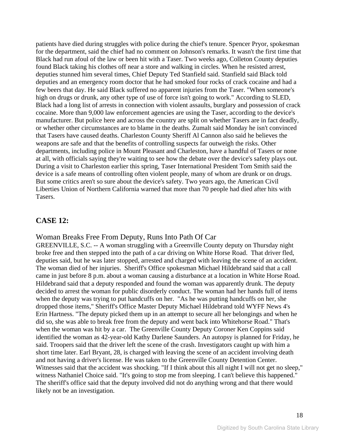patients have died during struggles with police during the chief's tenure. Spencer Pryor, spokesman for the department, said the chief had no comment on Johnson's remarks. It wasn't the first time that Black had run afoul of the law or been hit with a Taser. Two weeks ago, Colleton County deputies found Black taking his clothes off near a store and walking in circles. When he resisted arrest, deputies stunned him several times, Chief Deputy Ted Stanfield said. Stanfield said Black told deputies and an emergency room doctor that he had smoked four rocks of crack cocaine and had a few beers that day. He said Black suffered no apparent injuries from the Taser. "When someone's high on drugs or drunk, any other type of use of force isn't going to work." According to SLED, Black had a long list of arrests in connection with violent assaults, burglary and possession of crack cocaine. More than 9,000 law enforcement agencies are using the Taser, according to the device's manufacturer. But police here and across the country are split on whether Tasers are in fact deadly, or whether other circumstances are to blame in the deaths. Zumalt said Monday he isn't convinced that Tasers have caused deaths. Charleston County Sheriff Al Cannon also said he believes the weapons are safe and that the benefits of controlling suspects far outweigh the risks. Other departments, including police in Mount Pleasant and Charleston, have a handful of Tasers or none at all, with officials saying they're waiting to see how the debate over the device's safety plays out. During a visit to Charleston earlier this spring, Taser International President Tom Smith said the device is a safe means of controlling often violent people, many of whom are drunk or on drugs. But some critics aren't so sure about the device's safety. Two years ago, the American Civil Liberties Union of Northern California warned that more than 70 people had died after hits with Tasers.

## **CASE 12:**

#### Woman Breaks Free From Deputy, Runs Into Path Of Car

GREENVILLE, S.C. -- A woman struggling with a Greenville County deputy on Thursday night broke free and then stepped into the path of a car driving on White Horse Road. That driver fled, deputies said, but he was later stopped, arrested and charged with leaving the scene of an accident. The woman died of her injuries. Sheriff's Office spokesman Michael Hildebrand said that a call came in just before 8 p.m. about a woman causing a disturbance at a location in White Horse Road. Hildebrand said that a deputy responded and found the woman was apparently drunk. The deputy decided to arrest the woman for public disorderly conduct. The woman had her hands full of items when the deputy was trying to put handcuffs on her. "As he was putting handcuffs on her, she dropped those items," Sheriff's Office Master Deputy Michael Hildebrand told WYFF News 4's Erin Hartness. "The deputy picked them up in an attempt to secure all her belongings and when he did so, she was able to break free from the deputy and went back into Whitehorse Road." That's when the woman was hit by a car. The Greenville County Deputy Coroner Ken Coppins said identified the woman as 42-year-old Kathy Darlene Saunders. An autopsy is planned for Friday, he said. Troopers said that the driver left the scene of the crash. Investigators caught up with him a short time later. Earl Bryant, 28, is charged with leaving the scene of an accident involving death and not having a driver's license. He was taken to the Greenville County Detention Center. Witnesses said that the accident was shocking. "If I think about this all night I will not get no sleep," witness Nathaniel Choice said. "It's going to stop me from sleeping. I can't believe this happened." The sheriff's office said that the deputy involved did not do anything wrong and that there would likely not be an investigation.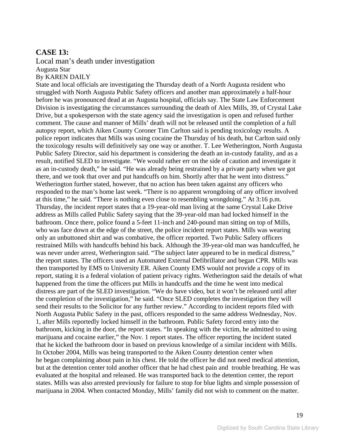## **CASE 13:**

#### Local man's death under investigation Augusta Star By KAREN DAILY

State and local officials are investigating the Thursday death of a North Augusta resident who struggled with North Augusta Public Safety officers and another man approximately a half-hour before he was pronounced dead at an Augusta hospital, officials say. The State Law Enforcement Division is investigating the circumstances surrounding the death of Alex Mills, 39, of Crystal Lake Drive, but a spokesperson with the state agency said the investigation is open and refused further comment. The cause and manner of Mills' death will not be released until the completion of a full autopsy report, which Aiken County Coroner Tim Carlton said is pending toxicology results. A police report indicates that Mills was using cocaine the Thursday of his death, but Carlton said only the toxicology results will definitively say one way or another. T. Lee Wetherington, North Augusta Public Safety Director, said his department is considering the death an in-custody fatality, and as a result, notified SLED to investigate. "We would rather err on the side of caution and investigate it as an in-custody death," he said. "He was already being restrained by a private party when we got there, and we took that over and put handcuffs on him. Shortly after that he went into distress." Wetherington further stated, however, that no action has been taken against any officers who responded to the man's home last week. "There is no apparent wrongdoing of any officer involved at this time," he said. "There is nothing even close to resembling wrongdoing." At 3:16 p.m. Thursday, the incident report states that a 19-year-old man living at the same Crystal Lake Drive address as Mills called Public Safety saying that the 39-year-old man had locked himself in the bathroom. Once there, police found a 5-feet 11-inch and 240-pound man sitting on top of Mills, who was face down at the edge of the street, the police incident report states. Mills was wearing only an unbuttoned shirt and was combative, the officer reported. Two Public Safety officers restrained Mills with handcuffs behind his back. Although the 39-year-old man was handcuffed, he was never under arrest, Wetherington said. "The subject later appeared to be in medical distress," the report states. The officers used an Automated External Defibrillator and began CPR. Mills was then transported by EMS to University ER. Aiken County EMS would not provide a copy of its report, stating it is a federal violation of patient privacy rights. Wetherington said the details of what happened from the time the officers put Mills in handcuffs and the time he went into medical distress are part of the SLED investigation. "We do have video, but it won't be released until after the completion of the investigation," he said. "Once SLED completes the investigation they will send their results to the Solicitor for any further review." According to incident reports filed with North Augusta Public Safety in the past, officers responded to the same address Wednesday, Nov. 1, after Mills reportedly locked himself in the bathroom. Public Safety forced entry into the bathroom, kicking in the door, the report states. "In speaking with the victim, he admitted to using marijuana and cocaine earlier," the Nov. 1 report states. The officer reporting the incident stated that he kicked the bathroom door in based on previous knowledge of a similar incident with Mills. In October 2004, Mills was being transported to the Aiken County detention center when he began complaining about pain in his chest. He told the officer he did not need medical attention, but at the detention center told another officer that he had chest pain and trouble breathing. He was evaluated at the hospital and released. He was transported back to the detention center, the report states. Mills was also arrested previously for failure to stop for blue lights and simple possession of marijuana in 2004. When contacted Monday, Mills' family did not wish to comment on the matter.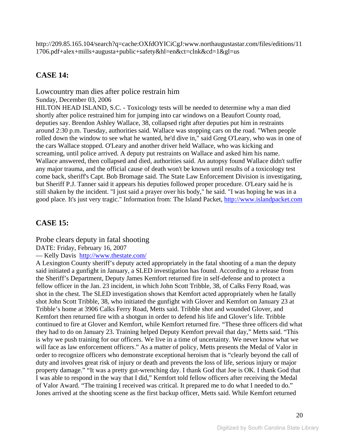http://209.85.165.104/search?q=cache:OXfdOYICiCgJ:www.northaugustastar.com/files/editions/11 1706.pdf+alex+mills+augusta+public+safety&hl=en&ct=clnk&cd=1&gl=us

## **CASE 14:**

Lowcountry man dies after police restrain him

Sunday, December 03, 2006

HILTON HEAD ISLAND, S.C. - Toxicology tests will be needed to determine why a man died shortly after police restrained him for jumping into car windows on a Beaufort County road, deputies say. Brendon Ashley Wallace, 38, collapsed right after deputies put him in restraints around 2:30 p.m. Tuesday, authorities said. Wallace was stopping cars on the road. "When people rolled down the window to see what he wanted, he'd dive in," said Greg O'Leary, who was in one of the cars Wallace stopped. O'Leary and another driver held Wallace, who was kicking and screaming, until police arrived. A deputy put restraints on Wallace and asked him his name. Wallace answered, then collapsed and died, authorities said. An autopsy found Wallace didn't suffer any major trauma, and the official cause of death won't be known until results of a toxicology test come back, sheriff's Capt. Bob Bromage said. The State Law Enforcement Division is investigating, but Sheriff P.J. Tanner said it appears his deputies followed proper procedure. O'Leary said he is still shaken by the incident. "I just said a prayer over his body," he said. "I was hoping he was in a good place. It's just very tragic." Information from: The Island Packet, [http://www.islandpacket.com](http://www.islandpacket.com/)

## **CASE 15:**

Probe clears deputy in fatal shooting

DATE: Friday, February 16, 2007

— Kelly Davis <http://www.thestate.com/>

A Lexington County sheriff's deputy acted appropriately in the fatal shooting of a man the deputy said initiated a gunfight in January, a SLED investigation has found. According to a release from the Sheriff's Department, Deputy James Kemfort returned fire in self-defense and to protect a fellow officer in the Jan. 23 incident, in which John Scott Tribble, 38, of Calks Ferry Road, was shot in the chest. The SLED investigation shows that Kemfort acted appropriately when he fatally shot John Scott Tribble, 38, who initiated the gunfight with Glover and Kemfort on January 23 at Tribble's home at 3906 Calks Ferry Road, Metts said. Tribble shot and wounded Glover, and Kemfort then returned fire with a shotgun in order to defend his life and Glover's life. Tribble continued to fire at Glover and Kemfort, while Kemfort returned fire. "These three officers did what they had to do on January 23. Training helped Deputy Kemfort prevail that day," Metts said. "This is why we push training for our officers. We live in a time of uncertainty. We never know what we will face as law enforcement officers." As a matter of policy, Metts presents the Medal of Valor in order to recognize officers who demonstrate exceptional heroism that is "clearly beyond the call of duty and involves great risk of injury or death and prevents the loss of life, serious injury or major property damage." "It was a pretty gut-wrenching day. I thank God that Joe is OK. I thank God that I was able to respond in the way that I did," Kemfort told fellow officers after receiving the Medal of Valor Award. "The training I received was critical. It prepared me to do what I needed to do." Jones arrived at the shooting scene as the first backup officer, Metts said. While Kemfort returned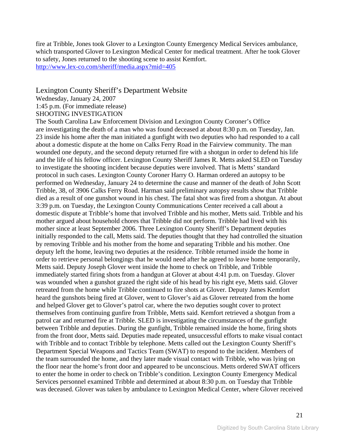fire at Tribble, Jones took Glover to a Lexington County Emergency Medical Services ambulance, which transported Glover to Lexington Medical Center for medical treatment. After he took Glover to safety, Jones returned to the shooting scene to assist Kemfort. <http://www.lex-co.com/sheriff/media.aspx?mid=405>

#### Lexington County Sheriff's Department Website

Wednesday, January 24, 2007

1:45 p.m. (For immediate release)

#### SHOOTING INVESTIGATION

The South Carolina Law Enforcement Division and Lexington County Coroner's Office are investigating the death of a man who was found deceased at about 8:30 p.m. on Tuesday, Jan. 23 inside his home after the man initiated a gunfight with two deputies who had responded to a call about a domestic dispute at the home on Calks Ferry Road in the Fairview community. The man wounded one deputy, and the second deputy returned fire with a shotgun in order to defend his life and the life of his fellow officer. Lexington County Sheriff James R. Metts asked SLED on Tuesday to investigate the shooting incident because deputies were involved. That is Metts' standard protocol in such cases. Lexington County Coroner Harry O. Harman ordered an autopsy to be performed on Wednesday, January 24 to determine the cause and manner of the death of John Scott Tribble, 38, of 3906 Calks Ferry Road. Harman said preliminary autopsy results show that Tribble died as a result of one gunshot wound in his chest. The fatal shot was fired from a shotgun. At about 3:39 p.m. on Tuesday, the Lexington County Communications Center received a call about a domestic dispute at Tribble's home that involved Tribble and his mother, Metts said. Tribble and his mother argued about household chores that Tribble did not perform. Tribble had lived with his mother since at least September 2006. Three Lexington County Sheriff's Department deputies initially responded to the call, Metts said. The deputies thought that they had controlled the situation by removing Tribble and his mother from the home and separating Tribble and his mother. One deputy left the home, leaving two deputies at the residence. Tribble returned inside the home in order to retrieve personal belongings that he would need after he agreed to leave home temporarily, Metts said. Deputy Joseph Glover went inside the home to check on Tribble, and Tribble immediately started firing shots from a handgun at Glover at about 4:41 p.m. on Tuesday. Glover was wounded when a gunshot grazed the right side of his head by his right eye, Metts said. Glover retreated from the home while Tribble continued to fire shots at Glover. Deputy James Kemfort heard the gunshots being fired at Glover, went to Glover's aid as Glover retreated from the home and helped Glover get to Glover's patrol car, where the two deputies sought cover to protect themselves from continuing gunfire from Tribble, Metts said. Kemfort retrieved a shotgun from a patrol car and returned fire at Tribble. SLED is investigating the circumstances of the gunfight between Tribble and deputies. During the gunfight, Tribble remained inside the home, firing shots from the front door, Metts said. Deputies made repeated, unsuccessful efforts to make visual contact with Tribble and to contact Tribble by telephone. Metts called out the Lexington County Sheriff's Department Special Weapons and Tactics Team (SWAT) to respond to the incident. Members of the team surrounded the home, and they later made visual contact with Tribble, who was lying on the floor near the home's front door and appeared to be unconscious. Metts ordered SWAT officers to enter the home in order to check on Tribble's condition. Lexington County Emergency Medical Services personnel examined Tribble and determined at about 8:30 p.m. on Tuesday that Tribble was deceased. Glover was taken by ambulance to Lexington Medical Center, where Glover received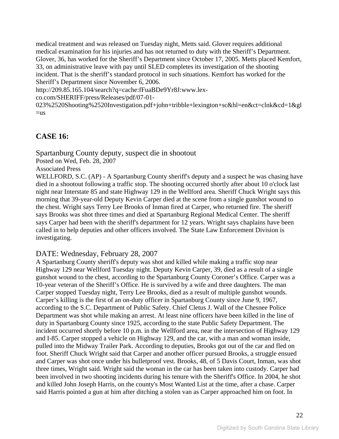medical treatment and was released on Tuesday night, Metts said. Glover requires additional medical examination for his injuries and has not returned to duty with the Sheriff's Department. Glover, 36, has worked for the Sheriff's Department since October 17, 2005. Metts placed Kemfort, 33, on administrative leave with pay until SLED completes its investigation of the shooting incident. That is the sheriff's standard protocol in such situations. Kemfort has worked for the Sheriff's Department since November 6, 2006.

http://209.85.165.104/search?q=cache:fFuaBDe9Yr8J:www.lex-

co.com/SHERIFF/press/Releases/pdf/07-01-

023%2520Shooting%2520Investigation.pdf+john+tribble+lexington+sc&hl=en&ct=clnk&cd=1&gl  $=$ us

## **CASE 16:**

Spartanburg County deputy, suspect die in shootout Posted on Wed, Feb. 28, 2007 Associated Press WELLFORD, S.C. (AP) - A Spartanburg County sheriff's deputy and a suspect he was chasing have

died in a shootout following a traffic stop. The shooting occurred shortly after about 10 o'clock last night near Interstate 85 and state Highway 129 in the Wellford area. Sheriff Chuck Wright says this morning that 39-year-old Deputy Kevin Carper died at the scene from a single gunshot wound to the chest. Wright says Terry Lee Brooks of Inman fired at Carper, who returned fire. The sheriff says Brooks was shot three times and died at Spartanburg Regional Medical Center. The sheriff says Carper had been with the sheriff's department for 12 years. Wright says chaplains have been called in to help deputies and other officers involved. The State Law Enforcement Division is investigating.

#### DATE: Wednesday, February 28, 2007

A Spartanburg County sheriff's deputy was shot and killed while making a traffic stop near Highway 129 near Wellford Tuesday night. Deputy Kevin Carper, 39, died as a result of a single gunshot wound to the chest, according to the Spartanburg County Coroner's Office. Carper was a 10-year veteran of the Sheriff's Office. He is survived by a wife and three daughters. The man Carper stopped Tuesday night, Terry Lee Brooks, died as a result of multiple gunshot wounds. Carper's killing is the first of an on-duty officer in Spartanburg County since June 9, 1967, according to the S.C. Department of Public Safety. Chief Cletus J. Wall of the Chesnee Police Department was shot while making an arrest. At least nine officers have been killed in the line of duty in Spartanburg County since 1925, according to the state Public Safety Department. The incident occurred shortly before 10 p.m. in the Wellford area, near the intersection of Highway 129 and I-85. Carper stopped a vehicle on Highway 129, and the car, with a man and woman inside, pulled into the Midway Trailer Park. According to deputies, Brooks got out of the car and fled on foot. Sheriff Chuck Wright said that Carper and another officer pursued Brooks, a struggle ensued and Carper was shot once under his bulletproof vest. Brooks, 48, of 5 Davis Court, Inman, was shot three times, Wright said. Wright said the woman in the car has been taken into custody. Carper had been involved in two shooting incidents during his tenure with the Sheriff's Office. In 2004, he shot and killed John Joseph Harris, on the county's Most Wanted List at the time, after a chase. Carper said Harris pointed a gun at him after ditching a stolen van as Carper approached him on foot. In